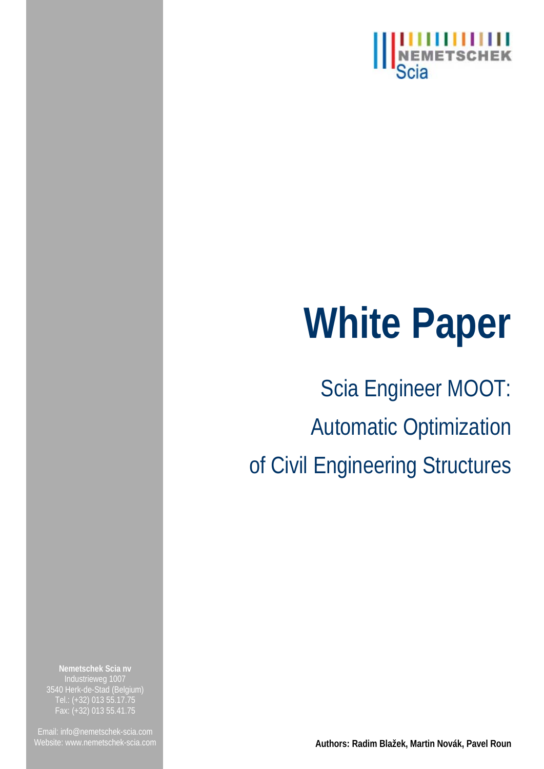

# **White Paper**

Scia Engineer MOOT: Automatic Optimization of Civil Engineering Structures

**Nemetschek Scia nv** Industrieweg 1007 3540 Herk-de-Stad (Belgium) Tel.: (+32) 013 55.17.75 Fax: (+32) 013 55.41.75

Website[: www.nemetschek-scia.com](http://www.nemetschek-scia.com/) **Authors: Radim Blažek, Martin Novák, Pavel Roun**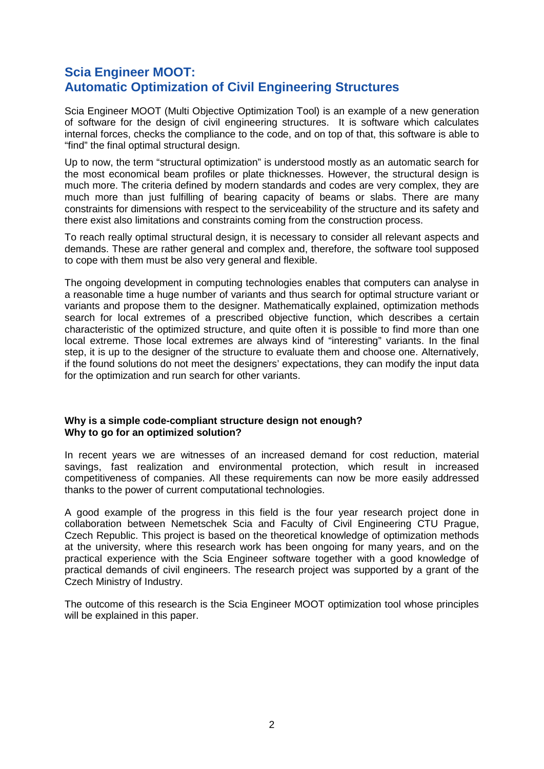#### **Scia Engineer MOOT: Automatic Optimization of Civil Engineering Structures**

Scia Engineer MOOT (Multi Objective Optimization Tool) is an example of a new generation of software for the design of civil engineering structures. It is software which calculates internal forces, checks the compliance to the code, and on top of that, this software is able to "find" the final optimal structural design.

Up to now, the term "structural optimization" is understood mostly as an automatic search for the most economical beam profiles or plate thicknesses. However, the structural design is much more. The criteria defined by modern standards and codes are very complex, they are much more than just fulfilling of bearing capacity of beams or slabs. There are many constraints for dimensions with respect to the serviceability of the structure and its safety and there exist also limitations and constraints coming from the construction process.

To reach really optimal structural design, it is necessary to consider all relevant aspects and demands. These are rather general and complex and, therefore, the software tool supposed to cope with them must be also very general and flexible.

The ongoing development in computing technologies enables that computers can analyse in a reasonable time a huge number of variants and thus search for optimal structure variant or variants and propose them to the designer. Mathematically explained, optimization methods search for local extremes of a prescribed objective function, which describes a certain characteristic of the optimized structure, and quite often it is possible to find more than one local extreme. Those local extremes are always kind of "interesting" variants. In the final step, it is up to the designer of the structure to evaluate them and choose one. Alternatively, if the found solutions do not meet the designers' expectations, they can modify the input data for the optimization and run search for other variants.

#### **Why is a simple code-compliant structure design not enough? Why to go for an optimized solution?**

In recent years we are witnesses of an increased demand for cost reduction, material savings, fast realization and environmental protection, which result in increased competitiveness of companies. All these requirements can now be more easily addressed thanks to the power of current computational technologies.

A good example of the progress in this field is the four year research project done in collaboration between Nemetschek Scia and Faculty of Civil Engineering CTU Prague, Czech Republic. This project is based on the theoretical knowledge of optimization methods at the university, where this research work has been ongoing for many years, and on the practical experience with the Scia Engineer software together with a good knowledge of practical demands of civil engineers. The research project was supported by a grant of the Czech Ministry of Industry.

The outcome of this research is the Scia Engineer MOOT optimization tool whose principles will be explained in this paper.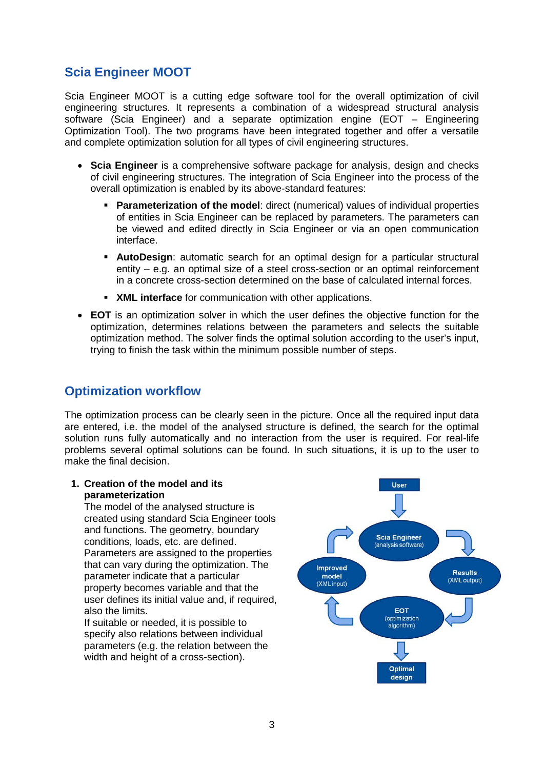### **Scia Engineer MOOT**

Scia Engineer MOOT is a cutting edge software tool for the overall optimization of civil engineering structures. It represents a combination of a widespread structural analysis software (Scia Engineer) and a separate optimization engine (EOT – Engineering Optimization Tool). The two programs have been integrated together and offer a versatile and complete optimization solution for all types of civil engineering structures.

- **Scia Engineer** is a comprehensive software package for analysis, design and checks of civil engineering structures. The integration of Scia Engineer into the process of the overall optimization is enabled by its above-standard features:
	- **Parameterization of the model:** direct (numerical) values of individual properties of entities in Scia Engineer can be replaced by parameters. The parameters can be viewed and edited directly in Scia Engineer or via an open communication interface.
	- **AutoDesign**: automatic search for an optimal design for a particular structural entity – e.g. an optimal size of a steel cross-section or an optimal reinforcement in a concrete cross-section determined on the base of calculated internal forces.
	- **XML interface** for communication with other applications.
- **EOT** is an optimization solver in which the user defines the objective function for the optimization, determines relations between the parameters and selects the suitable optimization method. The solver finds the optimal solution according to the user's input, trying to finish the task within the minimum possible number of steps.

#### **Optimization workflow**

The optimization process can be clearly seen in the picture. Once all the required input data are entered, i.e. the model of the analysed structure is defined, the search for the optimal solution runs fully automatically and no interaction from the user is required. For real-life problems several optimal solutions can be found. In such situations, it is up to the user to make the final decision.

#### **1. Creation of the model and its parameterization**

The model of the analysed structure is created using standard Scia Engineer tools and functions. The geometry, boundary conditions, loads, etc. are defined. Parameters are assigned to the properties that can vary during the optimization. The parameter indicate that a particular property becomes variable and that the user defines its initial value and, if required, also the limits.

If suitable or needed, it is possible to specify also relations between individual parameters (e.g. the relation between the width and height of a cross-section).

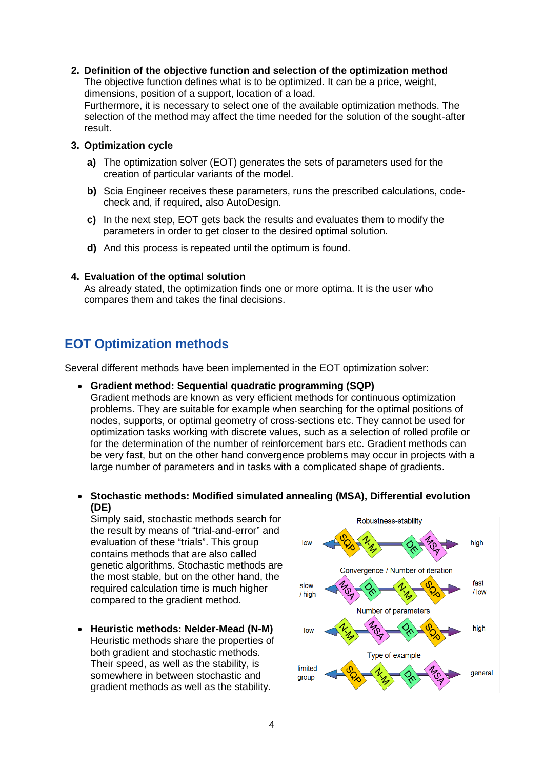#### **2. Definition of the objective function and selection of the optimization method**

The objective function defines what is to be optimized. It can be a price, weight, dimensions, position of a support, location of a load.

Furthermore, it is necessary to select one of the available optimization methods. The selection of the method may affect the time needed for the solution of the sought-after result.

#### **3. Optimization cycle**

- **a)** The optimization solver (EOT) generates the sets of parameters used for the creation of particular variants of the model.
- **b)** Scia Engineer receives these parameters, runs the prescribed calculations, codecheck and, if required, also AutoDesign.
- **c)** In the next step, EOT gets back the results and evaluates them to modify the parameters in order to get closer to the desired optimal solution.
- **d)** And this process is repeated until the optimum is found.

#### **4. Evaluation of the optimal solution**

As already stated, the optimization finds one or more optima. It is the user who compares them and takes the final decisions.

#### **EOT Optimization methods**

Several different methods have been implemented in the EOT optimization solver:

#### • **Gradient method: Sequential quadratic programming (SQP)**

Gradient methods are known as very efficient methods for continuous optimization problems. They are suitable for example when searching for the optimal positions of nodes, supports, or optimal geometry of cross-sections etc. They cannot be used for optimization tasks working with discrete values, such as a selection of rolled profile or for the determination of the number of reinforcement bars etc. Gradient methods can be very fast, but on the other hand convergence problems may occur in projects with a large number of parameters and in tasks with a complicated shape of gradients.

• **Stochastic methods: Modified simulated annealing (MSA), Differential evolution (DE)**

Simply said, stochastic methods search for the result by means of "trial-and-error" and evaluation of these "trials". This group contains methods that are also called genetic algorithms. Stochastic methods are the most stable, but on the other hand, the required calculation time is much higher compared to the gradient method.

• **Heuristic methods: Nelder-Mead (N-M)** Heuristic methods share the properties of both gradient and stochastic methods. Their speed, as well as the stability, is somewhere in between stochastic and gradient methods as well as the stability.

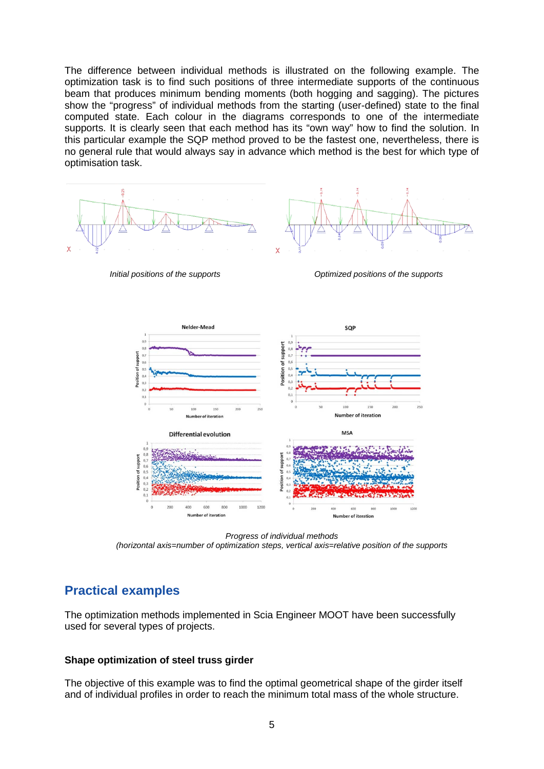The difference between individual methods is illustrated on the following example. The optimization task is to find such positions of three intermediate supports of the continuous beam that produces minimum bending moments (both hogging and sagging). The pictures show the "progress" of individual methods from the starting (user-defined) state to the final computed state. Each colour in the diagrams corresponds to one of the intermediate supports. It is clearly seen that each method has its "own way" how to find the solution. In this particular example the SQP method proved to be the fastest one, nevertheless, there is no general rule that would always say in advance which method is the best for which type of optimisation task.



*Initial positions of the supports Optimized positions of the supports*



*Progress of individual methods (horizontal axis=number of optimization steps, vertical axis=relative position of the supports*

#### **Practical examples**

The optimization methods implemented in Scia Engineer MOOT have been successfully used for several types of projects.

#### **Shape optimization of steel truss girder**

The objective of this example was to find the optimal geometrical shape of the girder itself and of individual profiles in order to reach the minimum total mass of the whole structure.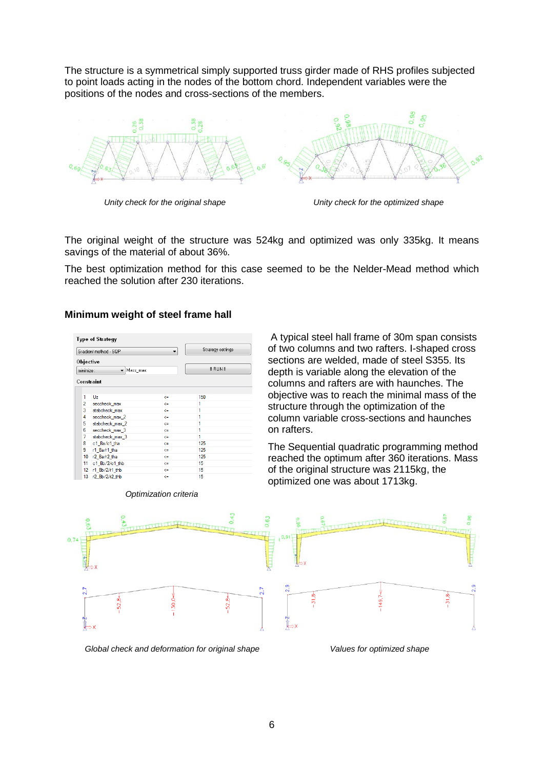The structure is a symmetrical simply supported truss girder made of RHS profiles subjected to point loads acting in the nodes of the bottom chord. Independent variables were the positions of the nodes and cross-sections of the members.



*Unity check for the original shape Unity check for the optimized shape*

A typical steel hall frame of 30m span consists of two columns and two rafters. I-shaped cross sections are welded, made of steel S355. Its depth is variable along the elevation of the columns and rafters are with haunches. The objective was to reach the minimal mass of the

The Sequential quadratic programming method reached the optimum after 360 iterations. Mass

structure through the optimization of the column variable cross-sections and haunches

of the original structure was 2115kg, the

optimized one was about 1713kg.

The original weight of the structure was 524kg and optimized was only 335kg. It means savings of the material of about 36%.

The best optimization method for this case seemed to be the Nelder-Mead method which reached the solution after 230 iterations.

#### **Minimum weight of steel frame hall**

| Gradient method - SQP<br>۰ |                 |          |    | Strategy settings |  |
|----------------------------|-----------------|----------|----|-------------------|--|
|                            | Objective       |          |    |                   |  |
| minimize:                  |                 | Mass max |    | II RUN II         |  |
|                            | Constraint      |          |    |                   |  |
|                            |                 |          |    |                   |  |
| 1                          | Uz              |          | <= | 150               |  |
| $\overline{c}$             | seccheck_max    |          | <= | 1                 |  |
| 3                          | stabcheck_max   |          | œ  | 1                 |  |
| 4                          | seccheck_max_2  |          | <= | 1                 |  |
| 5                          | stabcheck_max_2 |          | ⋖⋍ | 1                 |  |
| 6                          | seccheck max 3  |          | œ  | 1                 |  |
| 7                          | stabcheck_max_3 |          | <= | 1                 |  |
| 8                          | c1_Ba/c1_tha    |          | <= | 125               |  |
| 9                          | r1 Ba/r1 tha    |          | <= | 125               |  |
| 10                         | r2_Ba/r2_tha    |          | <= | 125               |  |
| 11.                        | c1_Bb/2/c1_thb  |          | <= | 15                |  |
| 12                         | r1 Bb/2/r1 thb  |          | œ  | 15                |  |
| 13                         | r2 Bb/2/r2 thb  |          | <= | 15                |  |



on rafters.

#### *Optimization criteria*

*Global check and deformation for original shape Values for optimized shape*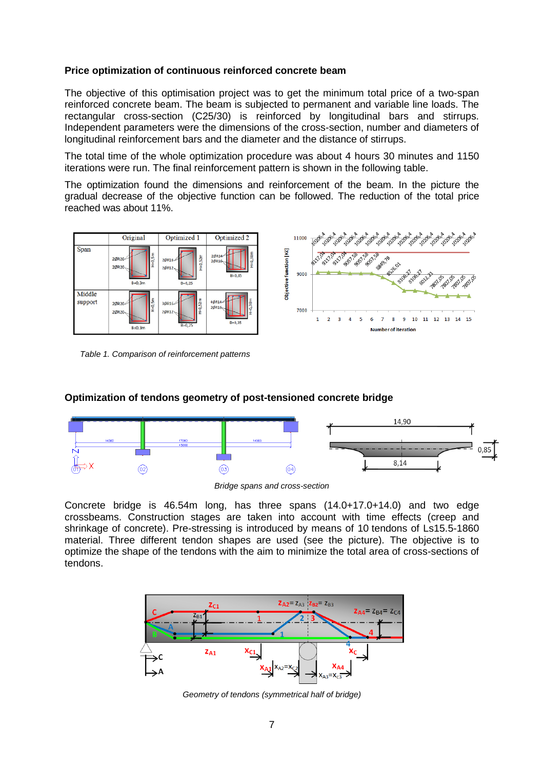#### **Price optimization of continuous reinforced concrete beam**

The objective of this optimisation project was to get the minimum total price of a two-span reinforced concrete beam. The beam is subjected to permanent and variable line loads. The rectangular cross-section (C25/30) is reinforced by longitudinal bars and stirrups. Independent parameters were the dimensions of the cross-section, number and diameters of longitudinal reinforcement bars and the diameter and the distance of stirrups.

The total time of the whole optimization procedure was about 4 hours 30 minutes and 1150 iterations were run. The final reinforcement pattern is shown in the following table.

The optimization found the dimensions and reinforcement of the beam. In the picture the gradual decrease of the objective function can be followed. The reduction of the total price reached was about 11%.



*Table 1. Comparison of reinforcement patterns*

## **Optimization of tendons geometry of post-tensioned concrete bridge**



*Bridge spans and cross-section*

Concrete bridge is 46.54m long, has three spans (14.0+17.0+14.0) and two edge crossbeams. Construction stages are taken into account with time effects (creep and shrinkage of concrete). Pre-stressing is introduced by means of 10 tendons of Ls15.5-1860 material. Three different tendon shapes are used (see the picture). The objective is to optimize the shape of the tendons with the aim to minimize the total area of cross-sections of tendons.



*Geometry of tendons (symmetrical half of bridge)*